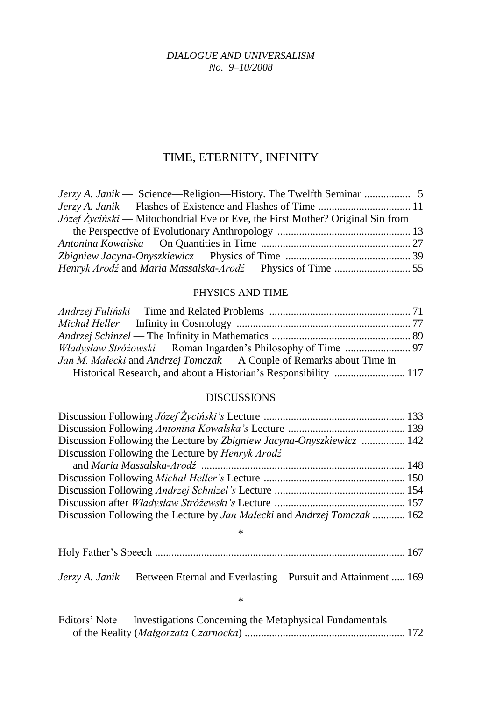*DIALOGUE AND UNIVERSALISM No. 9–10/2008*

## TIME, ETERNITY, INFINITY

| <i>Józef Życiński</i> — Mitochondrial Eve or Eve, the First Mother? Original Sin from |  |
|---------------------------------------------------------------------------------------|--|
|                                                                                       |  |
|                                                                                       |  |
|                                                                                       |  |
|                                                                                       |  |

## PHYSICS AND TIME

| Jan M. Małecki and Andrzej Tomczak — A Couple of Remarks about Time in |  |
|------------------------------------------------------------------------|--|
|                                                                        |  |

## DISCUSSIONS

| Discussion Following the Lecture by Zbigniew Jacyna-Onyszkiewicz  142                 |  |
|---------------------------------------------------------------------------------------|--|
| Discussion Following the Lecture by Henryk Arodź                                      |  |
|                                                                                       |  |
|                                                                                       |  |
|                                                                                       |  |
|                                                                                       |  |
| Discussion Following the Lecture by <i>Jan Malecki</i> and <i>Andrzej Tomczak</i> 162 |  |
| $\ast$                                                                                |  |
|                                                                                       |  |

*Jerzy A. Janik* — Between Eternal and Everlasting—Pursuit and Attainment ..... 169

## \*

| Editors' Note — Investigations Concerning the Metaphysical Fundamentals |  |
|-------------------------------------------------------------------------|--|
|                                                                         |  |